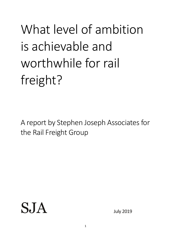What level of ambition is achievable and worthwhile for rail freight?

A report by Stephen Joseph Associates for the Rail Freight Group

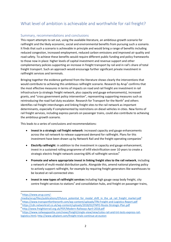# What level of ambition is achievable and worthwhile for rail freight?

## Summary, recommendations and conclusions

This report attempts to set out, using the available literature, an ambitious growth scenario for railfreight and the likely economic, social and environmental benefits from pursuing such a scenario. It finds that such a scenario is achievable in principle and would bring a range of benefits including reduced congestion, increased employment, reduced carbon emissions and improved air quality and road safety. To achieve these benefits would require different public funding and policy frameworks to those now in place: higher levels of capital investment and revenue support and other complementary policies supporting an increase in freight transport by rail and in rail's share of total freight transport. Such an approach would encourage further significant private investment in railfreight services and terminals.

Bringing together the evidence gathered from the literature shows clearly the interventions that would contribute to achieving this ambitious railfreight scenario. Research by Arup<sup>1</sup> confirms that the most effective measures in terms of impacts on road and rail freight are investment in rail infrastructure (a strategic freight network, plus capacity and gauge enhancements), increased grants, and "cross government policy intervention", representing supporting measures such as reintroducing the road fuel duty escalator. Research for Transport for the North<sup>2</sup> and others identifies rail freight interchanges and linking freight sites to the rail network as important determinants, especially if complemented by restrictions on diesel vehicles in cities. New forms of rail freight services, including express parcels on passenger trains, could also contribute to achieving the ambitious growth scenario.

This leads to a series of conclusions and recommendations:

- **Invest in a strategic rail freight network**: increased capacity and gauge enhancements across the rail network to release suppressed demand for railfreight. Plans for this investment have been drawn up by Network Rail and the freight operating companies<sup>3</sup>
- **Electrify railfreight**: in addition to the investment in capacity and gauge enhancement, invest in a sustained rolling programme of infill electrification over 10 years to create a strategic electric freight network covering 60% of railfreight services<sup>4</sup>
- **Promote and where appropriate invest in linking freight sites to the rail network**, including a network of multi-modal distribution parks. Alongside this, amend national planning policy to actively support railfreight, for example by requiring freight generators like warehouses to be located at rail-connected sites
- **Invest in new types of railfreight services** including high gauge swap body freight, city centre freight services to stations<sup>5</sup> and consolidation hubs, and freight on passenger trains,

**.** 

3 <https://cdn.networkrail.co.uk/wp-content/uploads/2018/02/FNPO-Route-Strategic-Plan.pdf>

<sup>&</sup>lt;sup>1</sup> [https://www.arup.com/-](https://www.arup.com/-/media/arup/files/publications/f/future_potential_for_modal_shift_in_the_uk_rail_freight_market.pdf)

[<sup>/</sup>media/arup/files/publications/f/future\\_potential\\_for\\_modal\\_shift\\_in\\_the\\_uk\\_rail\\_freight\\_market.pdf](https://www.arup.com/-/media/arup/files/publications/f/future_potential_for_modal_shift_in_the_uk_rail_freight_market.pdf) 2 <https://www.transportforthenorth.com/wp-content/uploads/TfN-Freight-and-Logistics-Report.pdf>

<sup>4</sup> <http://www.freightonrail.org.uk/PDF/Modern-Railways-April-2018.pdf>

<sup>5</sup> [https://www.railwaygazette.com/news/freight/single-view/view/colas-rail-and-tnt-tests-express-rail](https://www.railwaygazette.com/news/freight/single-view/view/colas-rail-and-tnt-tests-express-rail-logistics.html)[logistics.html;](https://www.railwaygazette.com/news/freight/single-view/view/colas-rail-and-tnt-tests-express-rail-logistics.html)<http://www.ajhplant.com/freight-trials-continue-at-euston>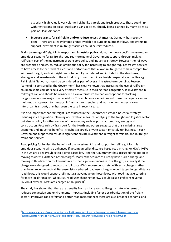especially high value lower volume freight like parcels and fresh produce. These could link with restrictions on diesel trucks and vans in cities, already being planned by many cities as part of Clean Air Zones

 **Increase grants for railfreight and/or reduce access charges** (as Germany has recently done). There are already limited grants available to support railfreight flows, and grants to support investment in railfreight facilities could be reintroduced.

**Mainstreaming railfreight in transport and industrial policy**: alongside these specific measures, an ambitious scenario for railfreight requires more general Government support, through making railfreight part of the mainstream of transport policy and industrial strategy. However the railways are organised and structured, an ambitious policy for increasing railfreight requires freight services to have access to the tracks at a cost and performance that allows railfreight to remain competitive with road freight, and railfreight needs to be fully considered and included in the structures, strategies and investments in the rail industry. Investment in railfreight, especially in the Strategic Rail Freight Network, should be considered as part of overall infrastructure spending. Research (some of it sponsored by the Government) has clearly shown that increasing the use of railfreight could on some corridors be a very effective measure in tackling road congestion, so investment in railfreight can and should be considered as an alternative to road-only options for tackling congestion on some major road corridors. This ambitious scenario would therefore require a more multi-modal approach to transport infrastructure spending and management, especially on interurban transport, than has been the case in recent years.

It is also important that railfreight is considered in the Government's wider industrial strategy, including in all regulation, planning and taxation measures applying to the freight and logistics sector but also in policy for other sectors of the economy such as ports, automotive, energy and construction. Research by Transport for the North and others suggests that this can bring large economic and industrial benefits. Freight is a largely private sector, privately run business – such Government support can result in significant private investment in freight terminals, and railfreight trains and services.

**Road pricing for lorries:** the benefits of the investment in and support for railfreight for this ambitious scenario will be enhanced if accompanied by distance-based road pricing for HGVs. HGVs in the UK are already subject to a time-based levy, and the Government has discussed the option of moving towards a distance-based charge<sup>6</sup>. Many other countries already have such a charge and moving in this direction could result in a further significant increase in railfreight, especially if the charge were designed to recoup the full costs HGVs impose on society, with extra charges rather than being revenue neutral. Because distance-based road user charging would target longer distance road flows, this would support rail's natural advantage on those flows, with road haulage catering for more local transport. Of course, road user charging for HGVs could raise significant revenue - £6.7bn if external costs are charged (2007 prices)<sup>7</sup>.

The study has shown that there are benefits from an increased railfreight strategy in terms of reduced congestion and environmental impacts, (including faster decarbonisation of the freight sector), improved road safety and better road maintenance; there are also broader economic and

 $\overline{a}$ 

<sup>6</sup> <https://www.gov.uk/government/consultations/reforming-the-heavy-goods-vehicle-road-user-levy>

<sup>&</sup>lt;sup>7</sup> [https://bettertransport.org.uk/sites/default/files/research-files/road\\_pricing\\_freight.pdf](https://bettertransport.org.uk/sites/default/files/research-files/road_pricing_freight.pdf)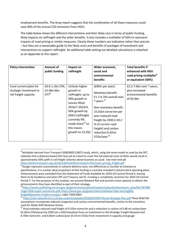employment benefits. The Arup report suggests that the combination of all these measures could save 40% of the annual CO2 emissions from HGVs.

The table below shows the different interventions and their likely cost in terms of public funding, likely impacts on railfreight and the wider benefits. It also includes a multiplier of 50% to represent impacts of road pricing or similar measures. Clearly these numbers are indicative rather than precise – but they are a reasonable guide to the likely costs and benefits of packages of investment and interventions to support railfreight. An additional table setting out detailed calculations is attached as an Appendix to this report.

| <b>Policy Intervention</b>                                                 | Amount of<br>public funding                | Impact on<br>railfreight                                                                                                                                                                                                     | Wider economic,<br>social and<br>environmental<br>benefits                                                                                                                                                                                                                 | <b>Total benefits if</b><br>enhanced with HGV<br>road pricing multiplier <sup>8</sup><br>or equivalent (50%) |
|----------------------------------------------------------------------------|--------------------------------------------|------------------------------------------------------------------------------------------------------------------------------------------------------------------------------------------------------------------------------|----------------------------------------------------------------------------------------------------------------------------------------------------------------------------------------------------------------------------------------------------------------------------|--------------------------------------------------------------------------------------------------------------|
| Fund current plans for<br>strategic investment in<br>rail freight capacity | £0.6-1.1bn CP6;<br>$£2.9bn-6bn$<br>$CP7^9$ | Unlocks higher<br>growth in<br>railfreight; up to<br>49% growth in<br>tonnes lifted<br>2016/7-2023/4,<br>60% growth by<br>2043 (railfreight<br>currently 9%<br>mode share <sup>10</sup> so<br>this means<br>growth to 13.5%) | [£89m per year];<br>Monetary benefit:<br>£1.7-4.7bn overall over<br>7 years. $^{11}$<br>Non-monetary benefit:<br>15.01bn tonne km per<br>year reduced road<br>freight by 2030 (=10.2)<br>% of current road<br>freight) and carbon<br>reduction 0.42mt<br>CO2e/year $^{12}$ | £2.5-7.0bn over 7 years,<br>plus increased<br>environmental benefits<br>of £0.4bn                            |

 $8$  Multiplier derived from Transport 2000/MDS (2007) study, which, using the same model as used by the DfT, indicates that a distance-based HGV levy set at a level to cover the full external costs of HGVs would result in approximately 50% uplift in rail freight volumes above business as usual. See main text p8 [https://bettertransport.org.uk/sites/default/files/research-files/road\\_pricing\\_freight.pdf](https://bettertransport.org.uk/sites/default/files/research-files/road_pricing_freight.pdf)

<sup>&</sup>lt;sup>9</sup> Ranges represent uncertainties in scheme delivery costs, not differences in number of schemes or specifications. It is unclear what proportion of this funding is currently included in Government spending plans. Enhancements were excluded from the Statement of Funds Available for 2019-24 Control Period 6, leaving them to be funded as and when DfT and Treasury see fit. Funding is completely uncertain for 2024-29 Control Period 7. For the purposes of this analysis, we assume Network Rail and partners have capacity to deliver the enhancements they have identified as part of their strategy.

<sup>&</sup>lt;sup>10</sup>[https://assets.publishing.service.gov.uk/government/uploads/system/uploads/attachment\\_data/file/787488](https://assets.publishing.service.gov.uk/government/uploads/system/uploads/attachment_data/file/787488/tsgb-2018-report-summaries.pdf) [/tsgb-2018-report-summaries.pdf;](https://assets.publishing.service.gov.uk/government/uploads/system/uploads/attachment_data/file/787488/tsgb-2018-report-summaries.pdf) [https://www.gov.uk/government/statistical-data-sets/tsgb04](https://www.gov.uk/government/statistical-data-sets/tsgb04-freight#domestic-freight-transport) [freight#domestic-freight-transport,](https://www.gov.uk/government/statistical-data-sets/tsgb04-freight#domestic-freight-transport) table TSGB 0403

<https://cdn.networkrail.co.uk/wp-content/uploads/2018/02/FNPO-Route-Strategic-Plan.pdf> These WebTAG assumptions incorporate reduced congestion and various environmental benefits, similar to the valuations used for Mode Shift Revenue Grants.

<sup>&</sup>lt;sup>12</sup> Arup estimate reduced road freight of 6.31bn tonne km and a reduction in carbon of 0.48 mt carbon/year (0.18mt CO2e/year) by 2030 (on a 2016 baseline) from an investment in the Strategic Freight Network and 8.70bn tonne km and 0.66mt carbon/year (0.24 mt CO2e) from investment in capacity and gauge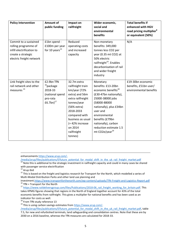| <b>Policy Intervention</b>                                                                                                   | <b>Amount of</b><br>public funding                                                               | Impact on<br>railfreight                                                                                                                                                                                                            | Wider economic,<br>social and<br>environmental<br>benefits                                                                                                                                                                                                                                | <b>Total benefits if</b><br>enhanced with HGV<br>road pricing multiplier <sup>8</sup><br>or equivalent (50%) |
|------------------------------------------------------------------------------------------------------------------------------|--------------------------------------------------------------------------------------------------|-------------------------------------------------------------------------------------------------------------------------------------------------------------------------------------------------------------------------------------|-------------------------------------------------------------------------------------------------------------------------------------------------------------------------------------------------------------------------------------------------------------------------------------------|--------------------------------------------------------------------------------------------------------------|
| Commit to a sustained<br>rolling programme of<br>infill electrification to<br>create a strategic<br>electric freight network | £1bn spend -<br>£100m per year<br>for 10 years $^{13}$                                           | Reduced<br>operating costs<br>and increased<br>capacity                                                                                                                                                                             | Non-monetary<br>benefits: 349,000<br>tonnes less CO2 per<br>year (0.35 mt CO2) at<br>50% electric<br>railfreight <sup>14</sup> . Enables<br>decarbonisation of rail<br>and wider freight<br>industry                                                                                      | N/A                                                                                                          |
| Link freight sites to the<br>rail network and other<br>measures <sup>15</sup>                                                | £2.9bn TfN<br><sup>16</sup> package<br>2018-33<br>(national spend<br>pro-rata<br>£6.7bn) $^{17}$ | 32.7m extra<br>railfreight train<br>km/year (72%<br>extra) and 56m<br>extra railfreight<br>tonnes/year<br>(56% extra)<br>2018-2033<br>compared with<br>business as usual<br>$(= 42\%$ increase<br>on 2014<br>railfreight<br>tonnes) | Monetary<br>benefits: £13-20bn<br>economic benefits <sup>18</sup><br>(£30-47bn nationally),<br>25000-38000 jobs<br>(58000-88000<br>nationally), plus £34bn<br>user and<br>environmental<br>benefits (£79bn<br>nationally), carbon<br>reduction estimate 1.5<br>mt CO2e/year <sup>19</sup> | £19-30bn economic<br>benefits, £51bn user/<br>environmental benefits                                         |

enhancement[s https://www.arup.com/-](https://www.arup.com/-/media/arup/files/publications/f/future_potential_for_modal_shift_in_the_uk_rail_freight_market.pdf)

[/media/arup/files/publications/f/future\\_potential\\_for\\_modal\\_shift\\_in\\_the\\_uk\\_rail\\_freight\\_market.pdf](https://www.arup.com/-/media/arup/files/publications/f/future_potential_for_modal_shift_in_the_uk_rail_freight_market.pdf)

 $13$  Note this is additional to the strategic investment in railfreight capacity and could in many cases be shared with passenger service electrification

1

investment[.https://www.transportforthenorth.com/wp-content/uploads/TfN-Freight-and-Logistics-Report.pdf](https://www.transportforthenorth.com/wp-content/uploads/TfN-Freight-and-Logistics-Report.pdf)  $^{16}$  TfN = Transport for the North

17 https://www.raildeliverygroup.com/files/Publications/2018-06 rail\_freight\_working\_for\_britain.pdf. This takes KPMG figures showing that regions in the North of England together account for 43% of the total economic benefits from railfreight. This gives a multiplier for national benefits and has been used as an indicator for costs as well.

<sup>18</sup> From TfN study reference 13

<sup>19</sup> This is using carbon savings estimates fro[m https://www.arup.com/-](https://www.arup.com/-/media/arup/files/publications/f/future_potential_for_modal_shift_in_the_uk_rail_freight_market.pdf)

[/media/arup/files/publications/f/future\\_potential\\_for\\_modal\\_shift\\_in\\_the\\_uk\\_rail\\_freight\\_market.pdf,](https://www.arup.com/-/media/arup/files/publications/f/future_potential_for_modal_shift_in_the_uk_rail_freight_market.pdf) table 7.5, for new and refurbished terminals, land safeguarding and consolidation centres. Note that these are by 2030 on a 2016 baseline, whereas the TfN measures are calculated for 2018-33.

<sup>&</sup>lt;sup>14</sup> Arup ibid

<sup>&</sup>lt;sup>15</sup> This is based on the freight and logistics research for Transport for the North, which modelled a series of Multi-Modal Distribution Parks and other land use planning and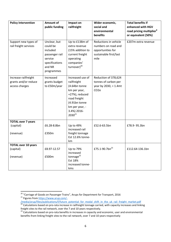| <b>Policy Intervention</b>                                     | Amount of                                                                                                   | Impact on                                                                                                                                                           | Wider economic,                                                                                     | <b>Total benefits if</b>                                                         |
|----------------------------------------------------------------|-------------------------------------------------------------------------------------------------------------|---------------------------------------------------------------------------------------------------------------------------------------------------------------------|-----------------------------------------------------------------------------------------------------|----------------------------------------------------------------------------------|
|                                                                | public funding                                                                                              | railfreight                                                                                                                                                         | social and<br>environmental<br>benefits                                                             | enhanced with HGV<br>road pricing multiplier <sup>8</sup><br>or equivalent (50%) |
| Support new types of<br>rail freight services                  | Unclear, but<br>could be<br>included<br>passenger rail<br>service<br>specifications<br>and NR<br>programmes | Up to £138m of<br>extra revenue<br>(15% addition to<br>current freight<br>operating<br>companies'<br>turnover) <sup>20</sup>                                        | Reductions in vehicle<br>numbers on road and<br>opportunities for<br>sustainable first/last<br>mile | £207m extra revenue                                                              |
| Increase railfreight<br>grants and/or reduce<br>access charges | Increased<br>grants budget<br>to £50m/year                                                                  | Increased use of<br>railfreight<br>(4.64bn tonne<br>km per year,<br>+27%), reduced<br>road freight<br>(4.91bn tonne<br>km per year, -<br>3.4%) 2016-<br>$2030^{21}$ | Reduction of 378,624<br>tonnes of carbon per<br>year by $2030$ , = 1.4mt<br>CO <sub>2</sub> e       |                                                                                  |
| <b>TOTAL over 7 years</b><br>(capital)<br>(revenue)            | £6.28-8.8bn<br>£350m                                                                                        | Up to 49%<br>increased rail<br>freight tonnage<br>Est 12.6% tonne-<br>km                                                                                            | £52.6-63.5bn                                                                                        | £78.9-95.3bn                                                                     |
| <b>TOTAL over 10 years</b><br>(capital)<br>(revenue)           | £8.97-12.57<br>£500m                                                                                        | Up to 79%<br>increased<br>tonnage <sup>22</sup><br>Est 18%<br>increased tonne-<br>kms                                                                               | £75.1-90.7bn <sup>23</sup>                                                                          | £112.64-136.1bn                                                                  |

**<sup>.</sup>** <sup>20</sup> "Carriage of Goods on Passenger Trains", Arups for Department for Transport, 2016

<sup>&</sup>lt;sup>21</sup> Figures from [https://www.arup.com/-](https://www.arup.com/-/media/arup/files/publications/f/future_potential_for_modal_shift_in_the_uk_rail_freight_market.pdf)

[<sup>/</sup>media/arup/files/publications/f/future\\_potential\\_for\\_modal\\_shift\\_in\\_the\\_uk\\_rail\\_freight\\_market.pdf](https://www.arup.com/-/media/arup/files/publications/f/future_potential_for_modal_shift_in_the_uk_rail_freight_market.pdf)

 $22$  Calculations based on pro-rata increase in railfreight tonnage carried, with capacity increases and linking freight sites to the rail network, over the 7 and 10 years respectively.

<sup>&</sup>lt;sup>23</sup> Calculations based on pro-rata benefits in increases in capacity and economic, user and environmental benefits from linking freight sites to the rail network, over 7 and 10 years respectively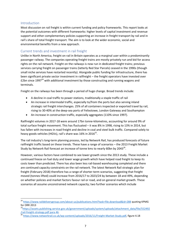#### Introduction

**.** 

Most discussion on rail freight is within current funding and policy frameworks. This report looks at the potential outcomes with different frameworks: higher levels of capital investment and revenue support and other complementary policies supporting an increase in freight transport by rail and in rail's share of total freight transport. The aim is to look at the wider economic, social and environmental benefits from a new approach.

#### Current trends and investment in rail freight

Unlike in North America, freight on rail in Britain operates as a marginal user within a predominantly passenger railway. The companies operating freight trains are mostly privately run and bid for access rights on the rail network. Freight on the railways is now run in dedicated freight trains; previous services carrying freight on passenger trains (latterly Red Star Parcels) ceased in the 1990s (though small niche services have restarted recently). Alongside public funding for infrastructure, there has been significant private sector investment in railfreight – the freight operators have invested over £2bn since 1997 $^{24}$  with additional investment by those constructing and running wagons and terminals.

Freight on the railways has been through a period of huge change. Broad trends include:

- A decline in coal traffic to power stations, traditionally a staple traffic of rail
- An increase in intermodal traffic, especially to/from the ports but also serving inland strategic rail freight interchanges. 25% of all containers inspected or exported travel by rail, rising to 30-40% at the deep-sea ports of Felixstowe, London Gateway and Southampton
- An increase in construction traffic, especially aggregates (110% since 1997).

Railfreight volumes in 2017-18 were around 17bn tonne-kilometres, accounting for around 9% of total surface freight movement. This has fluctuated – it was 8% in 1998, rising to 13% in 2014, but has fallen with increases in road freight and decline in coal and steel bulk traffic. Compared solely to heavy goods vehicles (HGVs), rail's share was 16% in 2016 $^{25}$ .

The rail industry's long-term planning process, led by Network Rail, has produced forecasts of future railfreight traffic based on these trends. These have a range of scenarios – the 2013 Freight Market Study by Network Rail forecast an increase of tonne kms to nearly 60bn by 2043 $^{26}$ .

However, various factors have combined to see lower growth since the 2013 study. These include a continued freeze on fuel duty and lower wage growth which have helped road freight to keep its costs lower than predicted. There has also been less rail-based warehousing completed and there are continued capacity constraints on the rail network. The latest Network Rail strategic plan for freight (February 2018) therefore has a range of shorter-term scenarios, suggesting that freight moved (tonnes lifted) could increase from 2016/17 to 2023/24 by between 18 and 49%, depending on whether policies and market factors favour rail or road, and on general market growth. These scenarios all assume unconstrained network capacity; two further scenarios which include

<sup>&</sup>lt;sup>24</sup> <https://www.raildeliverygroup.com/about-us/publications.html?task=file.download&id=288> quoting KPMG for ORR 2013

<sup>&</sup>lt;sup>25</sup>[https://assets.publishing.service.gov.uk/government/uploads/system/uploads/attachment\\_data/file/552492](https://assets.publishing.service.gov.uk/government/uploads/system/uploads/attachment_data/file/552492/rail-freight-strategy.pdf%20para%2046) [/rail-freight-strategy.pdf para 46.](https://assets.publishing.service.gov.uk/government/uploads/system/uploads/attachment_data/file/552492/rail-freight-strategy.pdf%20para%2046)

<sup>26</sup> [https://www.networkrail.co.uk/wp-content/uploads/2016/11/Freight-Market-Study.pdf,](https://www.networkrail.co.uk/wp-content/uploads/2016/11/Freight-Market-Study.pdf) figure 4.18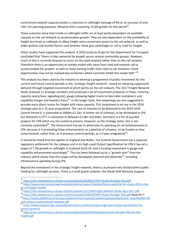constrained network capacity predict a reduction in railfreight tonnage of 9% or an increase of only 13%. For planning purposes, Network Rail is assuming 15.6% growth for this period<sup>27</sup>.

These scenarios show that trends in railfreight traffic are at least partly dependent on available capacity on the rail network to accommodate growth. They are also dependent on the availability of freight terminals or railheads to allow freight users convenient access to the rail network, as well as wider policies and market factors and whether these give advantages to rail or road for freight.

Other studies have supported this analysis. A 2016 study by Arups for the Department for Transport concluded that "there is clear potential for growth across several commodity groups. However, much of this is currently forecast to occur on the road network rather than on the rail network. Therefore there is an opportunity to initiate modal shift away from road and towards rail to accommodate this growth, as well as move existing traffic from road to rail. However, these opportunities may not be realised due to barriers which currently inhibit this modal shift." $^{28}$ 

This analysis has been used by the industry to develop a programme of public investment for the current and future control periods in the "strategic freight network", based on releasing suppressed demand through targeted investment at pinch points on the rail network. The 2017 Freight Network Study analysed 11 strategic corridors and produced a set of investment proposals in these, covering capacity (extra lines, signalling etc), gauge (allowing higher trains to take taller containers) and capability (longer and heavier) trains<sup>29</sup>. In the longer term, line reopenings are also suggested to provide more direct routes for freight with more capacity. This investment is set out in the 2018 strategic plan as a 15-year programme. The cost of schemes to be delivered in the 2019-2024 Control Period 6, is estimated at £600m-£1.1bn. A further set of schemes, to be developed in CP6 but delivered in CP7, is estimated at between £2.9bn and £6bn, and there is a list of possible projects for CP8 which are not costed at present. However, as the strategy notes, this is not currently committed<sup>30</sup>. The Government has yet to determine its spending on rail enhancements in CP6, because it is promoting these enhancements as a pipeline of schemes, to be funded as they come forward, rather than, as in previous control periods, as a 5-year programme<sup>31</sup>.

It should be noted that this applies to England and Wales. The Scottish Government has a separate regulatory settlement for the railways and in its High-Level Output Specification for CP6 it has set a target of 7.5% growth in railfreight in Scotland 2019-24, and is funding investment in gauge and capability enhancement accordingly<sup>32</sup>. This has been followed up by a "growth plan" from the industry which shows how this target will be developed, planned and delivered<sup>33</sup>, including infrastructure spending during CP6.

Beyond the investment in the strategic freight network, there is at present very limited direct public funding for railfreight services. There is a small grants scheme– the Mode Shift Revenue Support

<sup>&</sup>lt;sup>27</sup> <https://cdn.networkrail.co.uk/wp-content/uploads/2018/02/FNPO-Route-Strategic-Plan.pdf>

<sup>28</sup> [https://www.arup.com/perspectives/publications/research/section/future-potential-for-modal-shift-in-the](https://www.arup.com/perspectives/publications/research/section/future-potential-for-modal-shift-in-the-uk-rail-freight-market)[uk-rail-freight-market](https://www.arup.com/perspectives/publications/research/section/future-potential-for-modal-shift-in-the-uk-rail-freight-market)

<sup>29</sup> <https://cdn.networkrail.co.uk/wp-content/uploads/2017/04/Freight-Network-Study-April-2017.pdf>

<sup>30</sup> <https://cdn.networkrail.co.uk/wp-content/uploads/2018/02/FNPO-Route-Strategic-Plan.pdf> Appendix C

<sup>31</sup>[https://assets.publishing.service.gov.uk/government/uploads/system/uploads/attachment\\_data/file/691719](https://assets.publishing.service.gov.uk/government/uploads/system/uploads/attachment_data/file/691719/rail-network-enhancements-pipeline.pdf) [/rail-network-enhancements-pipeline.pdf](https://assets.publishing.service.gov.uk/government/uploads/system/uploads/attachment_data/file/691719/rail-network-enhancements-pipeline.pdf)<br>32 kttps://

<sup>32</sup> [https://www.transport.gov.scot/publication/the-scottish-ministers-high-level-output-specification-for](https://www.transport.gov.scot/publication/the-scottish-ministers-high-level-output-specification-for-control-period-6) $control-period-6  

$$
\underbrace{control-period-6}_{33 \text{ km}}
$$$  $control-period-6  

$$
\underbrace{control-period-6}_{33 \text{ km}}
$$$  $control-period-6  

$$
\underbrace{control-period-6}_{33 \text{ km}}
$$$ </u>

<sup>33</sup> [https://cdn.networkrail.co.uk/wp-content/uploads/2019/03/Scotland-Industry-Growth-Plan-for-Rail-](https://cdn.networkrail.co.uk/wp-content/uploads/2019/03/Scotland-Industry-Growth-Plan-for-Rail-Freight.pdf)[Freight.pdf](https://cdn.networkrail.co.uk/wp-content/uploads/2019/03/Scotland-Industry-Growth-Plan-for-Rail-Freight.pdf)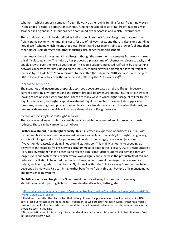scheme<sup>34</sup> - which supports some rail freight flows. No other public funding for rail freight now exists in England; a Freight Facilities Grant scheme, funding the capital costs of rail freight facilities, was scrapped in England in 2011 but has been continued by the Scottish and Welsh Governments.

There is also what could be described as indirect public support for rail freight. As marginal users, freight trains pay only their marginal costs for use of railway tracks, and there is also a long standing "red diesel" scheme which means that diesel freight (and passenger) trains pay lower fuel duty than other diesel users (farmers and other industries also benefit from this scheme) $^{35}$ .

In summary, there is investment in railfreight, though the current enhancements framework makes this difficult to quantify. The industry has proposed a programme of schemes to release capacity and enable growth over the next 15 years or so. This would support increased railfreight by overcoming network capacity constraints. Based on the industry modelling work, this might allow railfreight to increase by up to 49% by 2024 in terms of tonnes lifted (based on the 2018 scenarios) and by up to 50% in tonne kilometres over the same period (following the 2013 forecasts)<sup>36</sup>.

### Increased ambition

**.** 

The scenarios and investment proposals described above are based on the railfreight industry's current operating environment and the current broader policy environment. This report is however looking at options for higher ambition. There are many ways in which higher usage of rail for freight might be achieved, and higher capital investment might be directed. These include **supply side** measures, increasing the supply and convenience of railfreight services and lowering their cost; and **demand side** measures, which will increase demand for railfreight services.

#### *Increasing the supply of railfreight services*

There are several ways in which railfreight services might be increased and improved and costs reduced. These can be categorised as follows:

**Further investment in railfreight capacity:** this is in effect an expansion of business as usual, with further and faster investment in increased network capacity and capability for freight: resignalling, extra tracks, longer and extra loops, increased height (larger gauge), remodelled junctions (flyovers/underpasses), avoiding lines around stations etc. This mainly amounts to speeding up delivery of the strategic freight network programme as set out in the February 2018 Freight Strategic Plan. This investment has the potential to release significant further suppressed demand through longer, extra and faster trains, which overall would significantly increase the productivity of rail and reduce costs. It should be noted that many schemes would benefit passenger trains as well as freight, such as upgrades to junctions at Ely. As well as this, the "digital railway" programme, being developed by Network Rail, can bring further benefits to freight through better traffic management, and new signalling systems.

**Electrification for rail freight**: The Government has moved away from support for railway electrification and is putting its faith in bi-mode (diesel/electric, battery/electric or

34[https://assets.publishing.service.gov.uk/government/uploads/system/uploads/attachment\\_data/file/643021](https://assets.publishing.service.gov.uk/government/uploads/system/uploads/attachment_data/file/643021/MSRS_Guide_2015_16.pdf) [/MSRS\\_Guide\\_2015\\_16.pdf](https://assets.publishing.service.gov.uk/government/uploads/system/uploads/attachment_data/file/643021/MSRS_Guide_2015_16.pdf)

All and Cause 2010 To built the fact that railfreight pays charges to access the rail network, whilst HGVs 35 Red diesel is mostly offset by the fact that railfreight pays charges to access the rail network, whilst HGVs pay full tax but no access charge for roads. In addition, as we note later, research suggests that road freight taxation does not fully cover external costs and the impact on road surfaces, so reductions in full costs for rail should be seen in this light

<sup>&</sup>lt;sup>36</sup> Note: all estimates of future freight trends under all scenarios do not take account of disruption from Brexit in trade and freight flows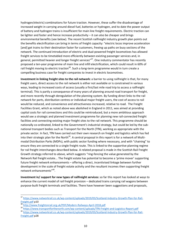hydrogen/electric) combinations for future traction. However, these suffer the disadvantage of increased weight in carrying around diesel fuel, batteries or hydrogen, and to date the power output of battery and hydrogen trains is insufficient for main line freight requirements. Electric traction can be lighter and faster and hence increase productivity – it can also be cheaper and brings environmental benefits (see below). The recent Scottish railfreight industry growth plan points out the benefits electrification can bring in terms of freight capacity: "electric locos improve acceleration [and] get trains to their destination faster for customers, freeing up paths on busy sections of the network. The continued introduction of electric and dual-powered freight locomotives has allowed freight services to be timetabled more efficiently between existing passenger services and, in general, permitted heavier and longer freight services"<sup>37</sup>. One industry commentator has recently proposed a ten-year programme of main line and infill electrification, which could result in 60% of rail freight moving to electric traction<sup>38</sup>. Such a long-term programme would in turn create a compelling business case for freight companies to invest in electric locomotives.

**Investment in linking freight sites to the rail network:** a barrier to using railfreight is that, for many freight users, direct access to the rail network is either not available or is constrained in various ways, leading to increased costs of access (usually a first/last mile road trip to access a railfreight terminal). This is partly a consequence of many years of planning around road transport for freight, and more recently through deregulation of the planning system. By funding direct links to the rail network for ports, distribution centres or individual major freight users, the cost of access to rail would be reduced, and convenience and attractiveness increased, relative to road. The Freight Facilities Grant, which as noted above was abolished in England in 2011, was aimed at providing capital costs for rail connections and this could be reintroduced, but a more ambitious approach would see a strategic and planned investment programme for planning new rail-connected freight facilities and connecting existing major freight sites to the rail network. This programme should be nationally co-ordinated, linked to the Government's industrial strategy, but could be led by the subnational transport bodies such as Transport for the North (TfN), working as appropriate with the private sector. In fact, TfN have carried out their own research on freight and logistics which has fed into their strategic plan for the North<sup>39</sup>. A central proposal in this report is for a network of Multimodal Distribution Parks (MDPs), with public sector funding where necessary, and with "chaining" to ensure they are connected to a single freight route. This is linked to the supportive planning regime for rail freight interchanges described below. A related proposal is made in the Scottish Rail Freight Growth strategy referred to above, which suggests "ring-fencing the value generated by the Network Rail freight estate... The freight estate has potential to become a 'prime mover' supporting future freight network enhancements – offering a direct, incentivised linkage between further development in the scale of freight estate activity and the resultant incomes then supporting freight network enhancements"<sup>40</sup>.

**Investment in/ support for new types of railfreight services:** so far this report has looked at ways to enhance the current model of rail freight provision – dedicated trains carrying rail wagons between purpose-built freight terminals and facilities. There have however been suggestions and proposals,

<sup>&</sup>lt;sup>37</sup> [https://www.networkrail.co.uk/wp-content/uploads/2019/03/Scotland-Industry-Growth-Plan-for-Rail-](https://www.networkrail.co.uk/wp-content/uploads/2019/03/Scotland-Industry-Growth-Plan-for-Rail-Freight.pdf)[Freight.pdf](https://www.networkrail.co.uk/wp-content/uploads/2019/03/Scotland-Industry-Growth-Plan-for-Rail-Freight.pdf) p10

<sup>38</sup> <http://www.freightonrail.org.uk/PDF/Modern-Railways-April-2018.pdf>

<sup>39</sup> <https://www.transportforthenorth.com/wp-content/uploads/TfN-Freight-and-Logistics-Report.pdf>

<sup>40</sup> [https://www.networkrail.co.uk/wp-content/uploads/2019/03/Scotland-Industry-Growth-Plan-for-Rail-](https://www.networkrail.co.uk/wp-content/uploads/2019/03/Scotland-Industry-Growth-Plan-for-Rail-Freight.pdf)[Freight.pdf](https://www.networkrail.co.uk/wp-content/uploads/2019/03/Scotland-Industry-Growth-Plan-for-Rail-Freight.pdf) p28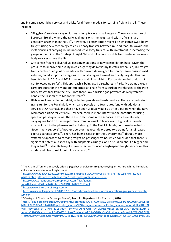and in some cases niche services and trials, for different models for carrying freight by rail. These include:

- "Piggyback" services carrying lorries or lorry trailers on rail wagons. These are a feature of European freight, where the railway dimensions (the height and width of trains) are generally larger than in the UK<sup>41</sup>. However, a better option might be high gauge swap-body freight, using new technology to ensure easy transfer between rail and road; this avoids the inefficiencies of carrying round unproductive lorry trailers. With investment in increasing the gauge in the UK on the Strategic Freight Network, it is now possible to consider more swapbody services across the UK.
- City centre freight delivered via passenger stations or new consolidation hubs. Given the pressure to improve air quality in cities, getting deliveries by (electrically hauled) rail freight to city centre or edge of cities sites, with onward delivery/ collection by zero-emission road vehicles, could support city regions in their strategies to meet air quality targets. This has been trialled in 2012 and 2014 bringing a train in at night to Euston station in London but not followed up so far<sup>42</sup>. This approach is being used elsewhere; in Paris, five trains a week carry products for the Monoprix supermarket chain from suburban warehouses to the Paris-Bercy freight facility in the city. From there, low emission gas-powered delivery vehicles handle the 'last mile' to Monoprix stores<sup>43</sup>.
- High value lower volume freight, including parcels and fresh produce. There are dedicated trains run for the Royal Mail, which carry parcels on a few routes (and with additional services at Christmas), and these have been gradually built up after a period when the Royal Mail ceased using rail entirely. However, there is more interest in the potential for using space on passenger trains. There are in fact some niche services in existence already, carrying sea food on passenger trains from Cornwall to London and high value parcels, mostly linked to the pharmaceutical industry, in the East Midlands, but these have had no Government support<sup>44</sup>. Another operator has recently ordered two trains for a rail-based express parcels service<sup>45</sup>. There has been research for the Government<sup>46</sup> about a more systematic approach to carrying freight on passenger trains, which concluded that there is significant potential, especially with adaptable carriages, and discussion about a bigger and longer trial<sup>47</sup>. Italian Railways FS have in fact introduced a high-speed freight service on this model and plan to roll it out if it is successful<sup>48</sup>.

 $41$  The Channel Tunnel effectively offers a piggyback service for freight, carrying lorries through the Tunnel, as well as some conventional freight trains.

<sup>42</sup> [https://www.railwaygazette.com/news/freight/single-view/view/colas-rail-and-tnt-tests-express-rail](https://www.railwaygazette.com/news/freight/single-view/view/colas-rail-and-tnt-tests-express-rail-logistics.html)[logistics.html;](https://www.railwaygazette.com/news/freight/single-view/view/colas-rail-and-tnt-tests-express-rail-logistics.html)<http://www.ajhplant.com/freight-trials-continue-at-euston>

<sup>43</sup> [http://www.urbantransportgroup.org/system/files/general-](http://www.urbantransportgroup.org/system/files/general-docs/Delivering%20the%20future%20FINAL%20020315.pdf)

[docs/Delivering%20the%20future%20FINAL%20020315.pdf](http://www.urbantransportgroup.org/system/files/general-docs/Delivering%20the%20future%20FINAL%20020315.pdf)

<sup>44</sup> <https://www.intercityrailfreight.com/>

<sup>45</sup> [https://www.railengineer.uk/2019/01/07/porterbrook-flex-trains-for-rail-operations-groups-new-parcels](https://www.railengineer.uk/2019/01/07/porterbrook-flex-trains-for-rail-operations-groups-new-parcels-service/)[service/](https://www.railengineer.uk/2019/01/07/porterbrook-flex-trains-for-rail-operations-groups-new-parcels-service/)

 $^{46}$  "Carriage of Goods on Passenger Trains", Arups for Department for Transport, 2016

<sup>47</sup>[https://ciltuk.org.uk/Portals/0/Documents/Forums/RFG/CILT%20Rail%20Freight%20Forum%20Ed%20Wilson](https://ciltuk.org.uk/Portals/0/Documents/Forums/RFG/CILT%20Rail%20Freight%20Forum%20Ed%20Wilson%20NR%2018%2001%202018.pdf?utm_source=GM&utm_medium=email&utm_campaign=RAIL+FREIGHT+FORUM+NEWSLETTER+24+04+2018&utm_term=RAIL+FREIGHT+FORUM+NEWSLETTER+ISSUE+1%2f2018&utm_content=13763&gator_td=pkOeJCo4Yo1bkuzy7uwNgahmA2r2pQ%2bitGsA1dhnjcWhmePxJuKU8F%2bGk80KX2HTas06%2bVSWu8cd2QgoivYJziMIrfVCuVFjHw9VBphPlCs6sQDcA5mnAksIbgqvngD%2fYkORZS4LCfO8kMH3UxuA0wybuqZdm3evJkIZtMoTm7Sn55BNvZ7TbURY2oInovVVIkVrdmxL9K9UmDkb0Ft00ZfZkjdIRBLxHpCLflMbk28%3d) [%20NR%2018%2001%202018.pdf?utm\\_source=GM&utm\\_medium=email&utm\\_campaign=RAIL+FREIGHT+FO](https://ciltuk.org.uk/Portals/0/Documents/Forums/RFG/CILT%20Rail%20Freight%20Forum%20Ed%20Wilson%20NR%2018%2001%202018.pdf?utm_source=GM&utm_medium=email&utm_campaign=RAIL+FREIGHT+FORUM+NEWSLETTER+24+04+2018&utm_term=RAIL+FREIGHT+FORUM+NEWSLETTER+ISSUE+1%2f2018&utm_content=13763&gator_td=pkOeJCo4Yo1bkuzy7uwNgahmA2r2pQ%2bitGsA1dhnjcWhmePxJuKU8F%2bGk80KX2HTas06%2bVSWu8cd2QgoivYJziMIrfVCuVFjHw9VBphPlCs6sQDcA5mnAksIbgqvngD%2fYkORZS4LCfO8kMH3UxuA0wybuqZdm3evJkIZtMoTm7Sn55BNvZ7TbURY2oInovVVIkVrdmxL9K9UmDkb0Ft00ZfZkjdIRBLxHpCLflMbk28%3d) [RUM+NEWSLETTER+24+04+2018&utm\\_term=RAIL+FREIGHT+FORUM+NEWSLETTER+ISSUE+1%2f2018&utm\\_c](https://ciltuk.org.uk/Portals/0/Documents/Forums/RFG/CILT%20Rail%20Freight%20Forum%20Ed%20Wilson%20NR%2018%2001%202018.pdf?utm_source=GM&utm_medium=email&utm_campaign=RAIL+FREIGHT+FORUM+NEWSLETTER+24+04+2018&utm_term=RAIL+FREIGHT+FORUM+NEWSLETTER+ISSUE+1%2f2018&utm_content=13763&gator_td=pkOeJCo4Yo1bkuzy7uwNgahmA2r2pQ%2bitGsA1dhnjcWhmePxJuKU8F%2bGk80KX2HTas06%2bVSWu8cd2QgoivYJziMIrfVCuVFjHw9VBphPlCs6sQDcA5mnAksIbgqvngD%2fYkORZS4LCfO8kMH3UxuA0wybuqZdm3evJkIZtMoTm7Sn55BNvZ7TbURY2oInovVVIkVrdmxL9K9UmDkb0Ft00ZfZkjdIRBLxHpCLflMbk28%3d) [ontent=13763&gator\\_td=pkOeJCo4Yo1bkuzy7uwNgahmA2r2pQ%2bitGsA1dhnjcWhmePxJuKU8F%2bGk80KX2](https://ciltuk.org.uk/Portals/0/Documents/Forums/RFG/CILT%20Rail%20Freight%20Forum%20Ed%20Wilson%20NR%2018%2001%202018.pdf?utm_source=GM&utm_medium=email&utm_campaign=RAIL+FREIGHT+FORUM+NEWSLETTER+24+04+2018&utm_term=RAIL+FREIGHT+FORUM+NEWSLETTER+ISSUE+1%2f2018&utm_content=13763&gator_td=pkOeJCo4Yo1bkuzy7uwNgahmA2r2pQ%2bitGsA1dhnjcWhmePxJuKU8F%2bGk80KX2HTas06%2bVSWu8cd2QgoivYJziMIrfVCuVFjHw9VBphPlCs6sQDcA5mnAksIbgqvngD%2fYkORZS4LCfO8kMH3UxuA0wybuqZdm3evJkIZtMoTm7Sn55BNvZ7TbURY2oInovVVIkVrdmxL9K9UmDkb0Ft00ZfZkjdIRBLxHpCLflMbk28%3d) [HTas06%2bVSWu8cd2QgoivYJziMIrfVCuVFjHw9VBphPlCs6sQDcA5mnAksIbgqvngD%2fYkORZS4LCfO8kMH3Uxu](https://ciltuk.org.uk/Portals/0/Documents/Forums/RFG/CILT%20Rail%20Freight%20Forum%20Ed%20Wilson%20NR%2018%2001%202018.pdf?utm_source=GM&utm_medium=email&utm_campaign=RAIL+FREIGHT+FORUM+NEWSLETTER+24+04+2018&utm_term=RAIL+FREIGHT+FORUM+NEWSLETTER+ISSUE+1%2f2018&utm_content=13763&gator_td=pkOeJCo4Yo1bkuzy7uwNgahmA2r2pQ%2bitGsA1dhnjcWhmePxJuKU8F%2bGk80KX2HTas06%2bVSWu8cd2QgoivYJziMIrfVCuVFjHw9VBphPlCs6sQDcA5mnAksIbgqvngD%2fYkORZS4LCfO8kMH3UxuA0wybuqZdm3evJkIZtMoTm7Sn55BNvZ7TbURY2oInovVVIkVrdmxL9K9UmDkb0Ft00ZfZkjdIRBLxHpCLflMbk28%3d)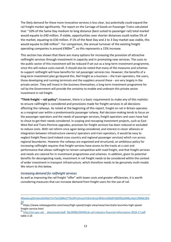The likely demand for these more innovative services is less clear, but potentially could expand the rail freight market significantly. The report on the Carriage of Goods on Passenger Trains calculated that: "10% of the Same Day medium to long distance (best suited to passenger rail) total market would equate to £40 million. If viable, opportunities over shorter distances could realise 5% of the market, equating to £30 million. If 1% of the Next Day and 2 to 3 Day market was viable, this would equate to £68 million". For comparison, the annual turnover of the existing freight operating companies is around  $£900m<sup>49</sup>$ , so this represents a 15% increase.

This section has shown that there are many options for increasing the provision of attractive railfreight services through investment in capacity and in promoting new services. The costs to the public sector of this investment will be reduced if set out as a long-term investment programme, since this will reduce costs overall. It should also be noted that many of the measures and schemes to support railfreight will have benefits for rail passenger services too. However, the benefits of a long-term investment plan go beyond this. Rail freight as a business – the train operators, the users, those developing and running terminals and the suppliers around these - are very largely in the private sector. They will invest in the business themselves; a long-term investment programme for rail by the Government will provide the certainty to enable and underpin this private sector investment in rail freight.

**"Think freight – rail policy":** however, there is a basic requirement to make any of this realistic: to ensure railfreight is considered and provisions made for freight services in all decisions affecting the railways. As noted at the beginning of this report, freight on rail in Britain operates as a marginal user within a predominantly passenger railway. Rail decision-making tends to focus on the passenger operators and the needs of passenger services; freight operators and users have had to shout to get their needs considered. In scoping and rescoping investment projects, such as East-West Rail and Trans-Pennine upgrades, provision for freight services has been reduced or excluded to reduce costs. With rail reform once again being considered, and interest in closer alliances or integration between infrastructure owners/ operators and train operators, it would be easy to neglect freight flows (and indeed cross country and regional passenger services) which run across regional boundaries. However the railways are organised and structured, an ambitious policy for increasing railfreight requires that freight services have access to the tracks at a cost and performance that allows railfreight to remain competitive with road freight, and that freight services and needs are catered for in investment programmes and schemes. In addition, given its potential benefits for decongesting roads, investment in rail freight needs to be considered within the context of wider investment in transport infrastructure, which therefore needs to be genuinely multi-modal. We return to this below.

#### *Increasing demand for railfreight services*

1

As well as improving the rail freight "offer" with lower costs and greater efficiencies, it is worth considering measures that can increase demand from freight users for the use of rail.

[A0wybuqZdm3evJkIZtMoTm7Sn55BNvZ7TbURY2oInovVVIkVrdmxL9K9UmDkb0Ft00ZfZkjdIRBLxHpCLflMbk28%](https://ciltuk.org.uk/Portals/0/Documents/Forums/RFG/CILT%20Rail%20Freight%20Forum%20Ed%20Wilson%20NR%2018%2001%202018.pdf?utm_source=GM&utm_medium=email&utm_campaign=RAIL+FREIGHT+FORUM+NEWSLETTER+24+04+2018&utm_term=RAIL+FREIGHT+FORUM+NEWSLETTER+ISSUE+1%2f2018&utm_content=13763&gator_td=pkOeJCo4Yo1bkuzy7uwNgahmA2r2pQ%2bitGsA1dhnjcWhmePxJuKU8F%2bGk80KX2HTas06%2bVSWu8cd2QgoivYJziMIrfVCuVFjHw9VBphPlCs6sQDcA5mnAksIbgqvngD%2fYkORZS4LCfO8kMH3UxuA0wybuqZdm3evJkIZtMoTm7Sn55BNvZ7TbURY2oInovVVIkVrdmxL9K9UmDkb0Ft00ZfZkjdIRBLxHpCLflMbk28%3d) [3d](https://ciltuk.org.uk/Portals/0/Documents/Forums/RFG/CILT%20Rail%20Freight%20Forum%20Ed%20Wilson%20NR%2018%2001%202018.pdf?utm_source=GM&utm_medium=email&utm_campaign=RAIL+FREIGHT+FORUM+NEWSLETTER+24+04+2018&utm_term=RAIL+FREIGHT+FORUM+NEWSLETTER+ISSUE+1%2f2018&utm_content=13763&gator_td=pkOeJCo4Yo1bkuzy7uwNgahmA2r2pQ%2bitGsA1dhnjcWhmePxJuKU8F%2bGk80KX2HTas06%2bVSWu8cd2QgoivYJziMIrfVCuVFjHw9VBphPlCs6sQDcA5mnAksIbgqvngD%2fYkORZS4LCfO8kMH3UxuA0wybuqZdm3evJkIZtMoTm7Sn55BNvZ7TbURY2oInovVVIkVrdmxL9K9UmDkb0Ft00ZfZkjdIRBLxHpCLflMbk28%3d)

 $\frac{32}{48}$ https://www.railwaygazette.com/news/high-speed/single-view/view/mercitalia-launches-high-speedfreight-service.html

<sup>49</sup> [http://orr.gov.uk/\\_\\_data/assets/pdf\\_file/0006/26439/uk-rail-industry-financial-information-2016-17.pdf](http://orr.gov.uk/__data/assets/pdf_file/0006/26439/uk-rail-industry-financial-information-2016-17.pdf) table 2.16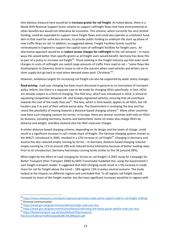One obvious measure here would be to **increase grants for rail freight**. As noted above, there is a Mode Shift Revenue Support Grant scheme to support railfreight flows that have environmental or other benefits but would not otherwise be economic. This scheme, which currently has very limited funding, could be expanded to support more freight flows and could also operate as a kickstart fund, akin to that used for some bus services, to provide public funding to underpin the start-up phase of new traffic flows on rail. In addition, as suggested above, Freight Facilities Grants could be reintroduced in England to support the capital costs of railfreight facilities for freight users. An alternative approach would be to **reduce access charges for railfreight** to the rail network – in many ways this would better than specific grants as all freight users would benefit. Germany has done this as part of a policy to increase rail freight<sup>50</sup>. Those working in the freight industry say that even small changes in costs of railfreight can switch large amounts of traffic from road to rail – "some flows like Southampton to Daventry tend to move to rail in the autumn when road vehicles and drivers are in short supply but go back to road when demand eases post- Christmas"<sup>51</sup>.

However, ambitious targets for increasing rail freight can also be supported by wider policy changes.

**Road pricing:** road user charging has been much discussed in general as an instrument of transport policy reform, but there is a separate case to be made for charging HGVs specifically. In fact, HGVs are already subject to a form of charging. The HGV levy, which was introduced in 2014, is aimed at equalising competition between UK- and foreign-registered vehicles, ensuring that all contribute towards the cost of the roads they use<sup>52</sup>. The levy, which is time-based, applies to all HGVs, but UK hauliers pay it as part of their vehicle excise duty. The Government is reviewing the levy and has raised the possibility of moving towards a distance-based charging scheme<sup>53</sup>. Many other countries now have such charging systems for lorries. In Europe, there are several countries with tolls on HGVs by distance, including Germany, Austria and Switzerland. Some US states also charge HGVs by distance and weight, and New Zealand also has HGV road user charges.

A similar distance-based charging scheme, depending on its design and the levels of charge, could result in a significant increase in rail's mode share of freight. The German charging system, known as the MAUT, introduced in 2005, resulted in a 12% increase in rail freight<sup>54</sup>. Charging in Germany and Austria has also reduced empty running by lorries – in Germany distance-based charging reduced empty running by 11% to around 18% and reduced tonne kilometres because of better loading rates. Prior to its introduction, Germany had empty running levels similar to the UK (around 28%).

What might be the effect of road charging for lorries on rail freight? A 2007 study for Campaign for Better Transport (then Transport 2000) by MDS Transmodal modelled this, using the Government's own freight transport model. It suggested that HGV charging could result in a 5% increase in mode share for rail for freight above the trend – 18% against 13% in policy-neutral scenario. The study looked at the impacts on different regions and concluded that "in all regions rail freight [would increase] its share of the freight market, but the most significant increases would be in regions with

<sup>54</sup> [https://bettertransport.org.uk/sites/default/files/research](https://bettertransport.org.uk/sites/default/files/research-files/Lorry%2BUser%2BCharging%2BFull%2BReport.pdf)[files/Lorry%2BUser%2BCharging%2BFull%2BReport.pdf](https://bettertransport.org.uk/sites/default/files/research-files/Lorry%2BUser%2BCharging%2BFull%2BReport.pdf)

<sup>&</sup>lt;sup>50</sup> <https://www.railwaypro.com/wp/ec-approves-germanys-state-aid-to-support-road-to-rail-freight-shifting/> <sup>51</sup> Personal communication

<sup>52</sup> <https://www.gov.uk/government/collections/hgv-road-user-levy>

<sup>53</sup> <https://www.gov.uk/government/consultations/reforming-the-heavy-goods-vehicle-road-user-levy>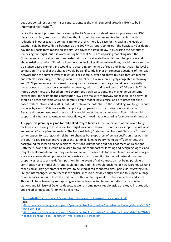deep sea container ports or major conurbations, as the main source of growth is likely to be in intermodal rail freight"<sup>55</sup>.

While the current proposals for reforming the HGV levy, and indeed previous proposals for HGV distance charging, are based on the idea that it should be revenue neutral for hauliers, with reductions in other taxes to compensate for the levy, there is a case for increasing the levels of taxation paid by HGVs. This is because, as the 2007 MDS report points out, the heaviest HGVs do not pay the full costs they impose on society. We cover this issue below in discussing the benefits of increasing railfreight, but it is worth noting here that MDS's road pricing modelling used the Government's own valuations of net external costs to calculate the additional charges over and above existing taxation. "Road haulage taxation, including all net externalities, would therefore have a distance-based element and would vary according to the type of road and, in particular, its level of congestion. The level of the charges would be significantly higher on congested sections of the road network than the current level of taxation. For example, over and above tax paid through fuel tax and vehicle excise duty, the charge would be £0.69 per HGV mile on a highly congested motorway and £1.74 per mile on a minor road in a major city. However, the charge would only marginally increase user costs on a low congestion motorway, with an additional cost of £0.04 per mile"<sup>56</sup>. As noted above, these are based on the Government's own valuations, and may undervalue some externalities, for example the contribution HGVs can make to motorway congestion (see below). It should be noted that this was a deliberately simple modelling exercise, and pre-dated the timebased system introduced in 2014, but it does show the potential. In the modelling, rail freight would increase by almost 50% more with road pricing compared with the business as usual scenario. Because distance-based road user charging would target longer distance road flows, this would support rail's natural advantage on those flows, with road haulage catering for more local transport.

**A supportive planning regime for rail-linked freight facilities:** the importance of rail-linked freight facilities in increasing the use of rail for freight was noted above. This requires a supportive national and regional/ local planning regime. The National Policy Statement on National Networks<sup>57</sup> offers some support for strategic railfreight interchanges but stops short of being specific on sites outside the South East. The current version of the National Planning Policy Framework<sup>58</sup>, which sets the background for local planning decisions, mentions lorry parking but does not mention railfreight. Both the NPS and NPPF could be revised to give more support for locating and designing logistic and freight developments so that they can be rail served. These could for example require all new largescale warehouse developments to demonstrate that connection to the rail network has been properly assessed, as the default position. In the event of rail connection not being possible a contribution to a modal shift fund could be required. This would push major new warehouses (and other similar large generators of freight) to be sited at rail connected sites, particularly Strategic Rail Freight Interchanges, where there is the critical mass to provide enough demand to support a range of rail services, inbound from the ports and outbound to Regional Distribution Centres and stores. This would be achieved by repurposing existing rail-connected brownfield sites such as power stations and Ministry of Defence depots, as well as some new sites alongside the key rail routes with good road connections for onward deliveries.

<sup>&</sup>lt;sup>55</sup> https://bettertransport.org.uk/sites/default/files/research-files/road pricing freight.pdf  $56$  ibid

<sup>57</sup>[https://assets.publishing.service.gov.uk/government/uploads/system/uploads/attachment\\_data/file/387222](https://assets.publishing.service.gov.uk/government/uploads/system/uploads/attachment_data/file/387222/npsnn-print.pdf) [/npsnn-print.pdf](https://assets.publishing.service.gov.uk/government/uploads/system/uploads/attachment_data/file/387222/npsnn-print.pdf)

<sup>58</sup>[https://assets.publishing.service.gov.uk/government/uploads/system/uploads/attachment\\_data/file/740441](https://assets.publishing.service.gov.uk/government/uploads/system/uploads/attachment_data/file/740441/National_Planning_Policy_Framework_web_accessible_version.pdf) [/National\\_Planning\\_Policy\\_Framework\\_web\\_accessible\\_version.pdf](https://assets.publishing.service.gov.uk/government/uploads/system/uploads/attachment_data/file/740441/National_Planning_Policy_Framework_web_accessible_version.pdf)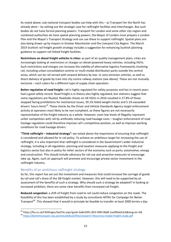As noted above, sub-national transport bodies can help with this – as Transport for the North has already done – by setting out the strategic case for railfreight facilities and interchanges. But such bodies do not have formal planning powers. Transport for London and some other city-region and combined authorities do have spatial planning powers; the Mayor of London must prepare a London Plan and the Mayor's Transport Strategy and can use these to support railfreight. Spatial plans are also being drawn up by mayors in Greater Manchester and the Liverpool City Region. The March 2019 Scottish rail freight growth strategy includes a suggestion for enhancing Scottish planning guidance to support rail-linked freight facilities.

**Restrictions on diesel freight vehicles in cities:** as part of air quality management plans, cities are increasingly looking at restrictions or charges on diesel-powered heavy vehicles, including HGVs. Such restrictions and charges can increase the viability of alternative logistics frameworks involving rail, including urban consolidation centres or multi-modal distribution parks outside the central areas, which can be rail served with onward delivery by low- or zero-emission vehicles, as well as direct delivery of goods by train into city centre railway stations (see above). These are not mutually exclusive – each caters for a different type of supply chain operation.

**Better regulation of road freight:** rail is highly regulated for safety purposes and has in recent years had a good safety record. Road freight is in theory also highly regulated, but statistics suggest that some regulations are flouted. Roadside checks on UK HGVs in 2016 resulted in 27.8% of those stopped facing prohibitions for mechanical issues, 39.1% failed weight checks and 5.1% exceeded drivers' hours limits<sup>59</sup>. These checks by the Driver and Vehicle Standards Agency target enforcement activity at operators most likely to be non-compliant, so these figures are not necessarily representative of the freight industry as a whole. However, even low levels of illegality represent unfair competition with rail by artificially reducing road haulage costs – tougher enforcement of road haulage regulation could therefore improve rail's competitive position, as well as improve working conditions for road haulage drivers.

**"Think railfreight – industrial strategy":** we noted above the importance of ensuring that railfreight is considered and allowed for in rail policy. To achieve an ambitious target for increasing the use of railfreight, it is also important that railfreight is considered in the Government's wider industrial strategy, including in all regulation, planning and taxation measures applying to the freight and logistics sector but also in policy for other sectors of the economy such as ports, automotive, energy and construction. This should include advocacy for rail use and proactive measures to encourage take up. Again, such an approach will promote and encourage private sector investment in the railfreight industry.

### Benefits of an ambitious railfreight strategy

 $\overline{a}$ 

So far, this report has set out the investment and measures that could increase the carriage of goods by rail and rail's share of the GB freight market. However, this will need to be supported by an assessment of the benefits of such a strategy. Why should such a strategy be adopted? In looking at increased ambition, there are some clear benefits from increased rail freight.

**Reduced congestion:** a shift of freight from road to rail could reduce congestion on the roads. The feasibility of this has been established by a study by consultants MTRU for Campaign for Better Transport<sup>60</sup>. This showed that it would in principle be feasible to transfer at least 2000 lorries a day

<sup>59</sup> https://fta.co.uk/CMSPages/GetFile.aspx?guid=2e8a35f0-c853-4f90-90d8-1ee9fbeb53c6&lang=en-GB <sup>60</sup> <https://bettertransport.org.uk/sites/default/files/research-files/cross-modal-freight-study.pdf>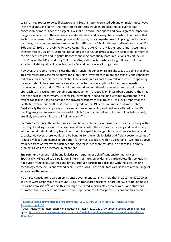to rail on key routes to ports (Felixstowe and Southampton were studied) and on major motorways in the Midlands and North. The report notes that this would in practice reduce overall road congestion by more, since the biggest HGVs take up more road space and have a greater impact on congestion because of their acceleration, deceleration and braking characteristics. This means that each HGV represents 3-4 "passenger car units" (pcus) on a congested road. Applying this to specific corridors, the report estimates a reduction in traffic on the A34 Southampton-Newbury road of 12- 16% and 17-19% on the A14 Felixstowe-Cambridge route. On the M6, the report finds, assuming a transfer rate of 20% of HGVs to rail, reductions of over 2000 lorries a day are achievable. It refers to the Northern Freight and Logistics Report as showing potentially larger reductions of 2700-5500 HGVs/day on the M6 corridor by 2033. The M62, with shorter distance freight flows, could see smaller but still significant reductions in HGVs and hence overall congestion.

However, the report makes it clear that this transfer depends on railfreight capacity being available. This reinforces the case made above for supply-side investment in railfreight capacity and capability, but also shows that this investment should be considered as part of overall infrastructure spending; it can and should be considered as an alternative to road-only options for tackling congestion on some major road corridors. This ambitious scenario would therefore require a more multi-modal approach to infrastructure spending and management, especially on interurban transport, than has been the case in recent years. By contrast, investment in road building without investment in rail freight capacity is likely to damage the growth prospects for rail freight – as a 2014 report for the Scottish Government by AECOM into the upgrade of the A9 Perth-Inverness trunk road noted, "realistically the shorter journey times and improved reliability and resilience offered by the A9 dualling are going to lessen the potential switch from road to rail and all other things being equal, are likely to constrain future rail freight growth"<sup>61</sup>.

**Increased efficiency**: the ambitious scenario has clear benefits in terms of increased efficiency within the freight and logistics industry. We have already noted the increased efficiency and productivity within the railfreight industry from investment in capability (longer, faster and heavier trains) and capacity. However, there would also be benefits for the whole logistics and freight sector in terms of reduced mileage and increased utilisation for lorries, especially with HGV charging – we noted above evidence from Germany that distance charging for lorries there resulted in a sharp fall in empty running, as well as an increase in rail freight.

**Environment:** current freight and logistics patterns impose significant environmental costs. Specifically, HGVs add to air pollution, in terms of nitrogen oxides and particulates. This pollution is not purely from exhausts; tyres and brakes produce particulates also and with the latest engine technology these emissions exceed exhaust emissions. These pollutants are linked to a wide range of serious health problems.

HGVs also contribute to carbon emissions; Government statistics show that in 2017 the 400,000 or so HGVs were responsible for around 16.5% of transport emissions, or around 6% of total domestic UK carbon emissions<sup>62</sup>. Within this, the big articulated vehicles play a major role – one study has estimated that they account for more than 10 per cent of all transport emissions and this could rise

<sup>61</sup> [https://assets.documentcloud.org/documents/4060793/A9OBC-Tech-Note-12-Freight-Corridor-](https://assets.documentcloud.org/documents/4060793/A9OBC-Tech-Note-12-Freight-Corridor-Assessment.pdf%20p32)[Assessment.pdf p32.](https://assets.documentcloud.org/documents/4060793/A9OBC-Tech-Note-12-Freight-Corridor-Assessment.pdf%20p32)

 $^{62}$ Department for Business, Energy and Industrial Strategy (2019), 2017 UK greenhouse gas emissions: final figures [https://www.gov.uk/government/statistics/final-uk-greenhouse-gas-emissions-national-statistics-](https://www.gov.uk/government/statistics/final-uk-greenhouse-gas-emissions-national-statistics-1990-2017)[1990-2017](https://www.gov.uk/government/statistics/final-uk-greenhouse-gas-emissions-national-statistics-1990-2017)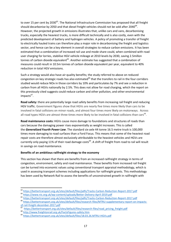to over 15 per cent by 2030<sup>63</sup>. The National Infrastructure Commission has proposed that all freight should decarbonise by 2050 and that diesel freight vehicles should not be sold after 2040 $^{64}$ . However, the projected growth in emissions illustrates that, unlike cars and vans, decarbonising trucks, especially the heaviest trucks, is more difficult technically and is also costly, even with the predicted development of battery and hydrogen vehicles. A policy of promoting a transfer of freight to electrically hauled trains can therefore play a major role in decarbonising the freight and logistics sector, and hence can be a key element in overall strategies to reduce carbon emissions. It has been estimated that a combination of increased rail use and mode share could, when combined with road user charging for lorries, stabilise HGV vehicle mileage at 2010 levels by 2030, saving 2.5millon tonnes of carbon dioxide equivalent<sup>65</sup>. Another estimate has suggested that a combination of measures could result in 10.5m tonnes of carbon dioxide equivalent per year, equivalent to 40% reduction in total HGV emissions.

Such a strategy would also have air quality benefits; the study referred to above on reduced congestion on key strategic roads has also estimated<sup>66</sup> that the transfers to rail in the four corridors studied would reduce NOx in those corridors by 10% and particulates by 7% and see a reduction in carbon from all HGVs nationally by 2.5%. This does not allow for road charging, which the report on this previously cited suggests could reduce carbon and other pollution, and other environmental impacts<sup>67</sup>.

**Road safety:** there are potentially large road safety benefits from increasing rail freight and reducing HGV traffic. Government figures show that HGVs are nearly five times more likely than cars to be involved in fatal collisions on minor roads, and almost four times more likely on motorways. Across all road types HGVs are almost three times more likely to be involved in fatal collisions than cars<sup>68</sup>.

**Road maintenance costs:** HGVs cause more damage to foundations and structures of roads than cars because the damaging power rises exponentially as weight increases. This is called the *Generalized Fourth Power Law*. The standard six-axle 44 tonne 16.5 metre truck is 100,000 times more damaging to road surfaces than a Ford Focus. This means that some of the heaviest road repair costs are therefore almost exclusively attributable to the heaviest vehicles and HGVs are currently only paying 11% of their road damage costs<sup>69</sup>. A shift of freight from road to rail will result in savings on road maintenance.

#### **Benefits of an ambitious railfreight strategy to the economy**

This section has shown that there are benefits from an increased railfreight strategy in terms of congestion, environment, safety and road maintenance. These benefits from increased rail freight can be turned into economic values using conventional transport appraisal methodology, which is used in assessing transport schemes including applications for railfreight grants. This methodology has been used by Network Rail to assess the benefits of unconstrained growth in railfreight with

<sup>&</sup>lt;sup>63</sup> <https://bettertransport.org.uk/sites/default/files/pdfs/Tracks-Carbon-Reduction-Report-2017.pdf>

<sup>64</sup> <https://www.nic.org.uk/wp-content/uploads/Better-Delivery-April-2019.pdf>

<sup>65</sup> <https://bettertransport.org.uk/sites/default/files/pdfs/Tracks-Carbon-Reduction-Report-2017.pdf>

<sup>66</sup> [https://bettertransport.org.uk/sites/default/files/research-files/MTRU-supplementary-report-on-impacts](https://bettertransport.org.uk/sites/default/files/research-files/MTRU-supplementary-report-on-impacts-of-rail-freight-december-2017.pdf)[of-rail-freight-december-2017.pdf](https://bettertransport.org.uk/sites/default/files/research-files/MTRU-supplementary-report-on-impacts-of-rail-freight-december-2017.pdf)<br><sup>67</sup> https://bettertrensport.org.uk/

[https://bettertransport.org.uk/sites/default/files/research-files/road\\_pricing\\_freight.pdf](https://bettertransport.org.uk/sites/default/files/research-files/road_pricing_freight.pdf)

<sup>68</sup> <http://www.freightonrail.org.uk/FactsFigures-safety.htm>

<sup>69</sup> <https://bettertransport.org.uk/sites/default/files/18.03.26.MTRU-HGVs.pdf>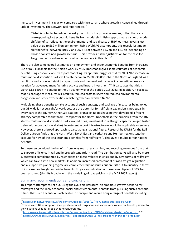increased investment in capacity, compared with the scenario where growth is constrained through lack of investment. The Network Rail report notes $^{70}$ :

"What is notable, based on the lost growth from the pro-rail scenarios, is that there are corresponding lost economic benefits from modal shift. Using approximate values of mode shift benefits (reflecting the environmental and social costs of HGV journeys) gives a lost value of up to £89 million per annum. Using WebTAG assumptions, this reveals lost mode shift benefits [between 2016-7 and 2023-4] of between £1.7bn and £4.7bn (depending on chosen constrained growth scenario). This provides further justification for the case for freight network enhancements set out elsewhere in this plan."<sup>71</sup>

There are also some overall estimates on employment and wider economic benefits from increased use of rail. Transport for the North's work by MDS Transmodal gives some estimates of economic benefit using economic and transport modelling. Its appraisal suggests that by 2033 "the increase in multi-modal distribution parks will create between 25,000-38,000 jobs in the North of England, as a result of a reduction in freight transport costs and the resultant increase in competitiveness as a location for advanced manufacturing activity and inward investment"<sup>72</sup>. It calculates that this is worth £13-£20bn in benefits to the UK economy over the period 2018-2033. In addition, it suggests that its package of measures will result in reduced costs to users and reduced environmental, congestion and other externalities, which together are worth £34.7bn.

Multiplying these benefits to take account of such a strategy and package of measures being rolled out GB wide is not straightforward, because the potential for railfreight expansion is not equal in every part of the country. Other Sub-National Transport Bodies have not yet developed a freight strategy comparable to that from Transport for the North. Nonetheless, the principles from the TfN study – multi-modal distribution parks around cities, investment in railfreight capacity (longer, faster trains with more paths available), investment in port infrastructure – would be applicable elsewhere. However, there is a broad approach to calculating a national figure. Research by KPMG for the Rail Delivery Group finds that the North West, North East and Yorkshire and Humber regions together account for 43% of the total economic benefits from railfreight<sup>73</sup>. This gives a multiplier for national benefits.

To these can be added the benefits from lorry road user charging, and recycling revenues from that to support efficiency in rail and improved standards in road. The distribution parks will also be more successful if complemented by restrictions on diesel vehicles in cities and by new forms of railfreight which can take it into new markets. In addition, increased enforcement of road freight regulation and a supportive planning regime are complementary measures but are difficult to quantify in terms of increased railfreight and wider benefits. To give an indication of these, a multiplier of 50% has been assumed (this fits broadly with the modelling of road pricing in the MDS 2007 report).

#### Summary, recommendations and conclusions

**.** 

This report attempts to set out, using the available literature, an ambitious growth scenario for railfreight and the likely economic, social and environmental benefits from pursuing such a scenario. It finds that such a scenario is achievable in principle and would bring a range of benefits including

<sup>70</sup> <https://cdn.networkrail.co.uk/wp-content/uploads/2018/02/FNPO-Route-Strategic-Plan.pdf>

<sup>&</sup>lt;sup>71</sup> These WebTAG assumptions incorporate reduced congestion and various environmental benefits, similar to the valuations used for Mode Shift Revenue Grants.

<sup>72</sup> <https://www.transportforthenorth.com/wp-content/uploads/TfN-Freight-and-Logistics-Report.pdf> 7.2

<sup>&</sup>lt;sup>73</sup> [https://www.raildeliverygroup.com/files/Publications/2018-06\\_rail\\_freight\\_working\\_for\\_britain.pdf](https://www.raildeliverygroup.com/files/Publications/2018-06_rail_freight_working_for_britain.pdf)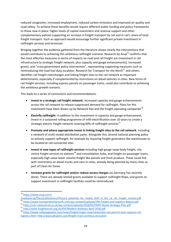reduced congestion, increased employment, reduced carbon emissions and improved air quality and road safety. To achieve these benefits would require different public funding and policy frameworks to those now in place: higher levels of capital investment and revenue support and other complementary policies supporting an increase in freight transport by rail and in rail's share of total freight transport. Such an approach would encourage further significant private investment in railfreight services and terminals.

Bringing together the evidence gathered from the literature shows clearly the interventions that would contribute to achieving this ambitious railfreight scenario. Research by Arup<sup>74</sup> confirms that the most effective measures in terms of impacts on road and rail freight are investment in rail infrastructure (a strategic freight network, plus capacity and gauge enhancements), increased grants, and "cross government policy intervention", representing supporting measures such as reintroducing the road fuel duty escalator. Research for Transport for the North $75$  and others identifies rail freight interchanges and linking freight sites to the rail network as important determinants, especially if complemented by restrictions on diesel vehicles in cities. New forms of rail freight services, including express parcels on passenger trains, could also contribute to achieving the ambitious growth scenario.

This leads to a series of conclusions and recommendations:

- **Invest in a strategic rail freight network**: increased capacity and gauge enhancements across the rail network to release suppressed demand for railfreight. Plans for this investment have been drawn up by Network Rail and the freight operating companies<sup>76</sup>
- **Electrify railfreight**: in addition to the investment in capacity and gauge enhancement, invest in a sustained rolling programme of infill electrification over 10 years to create a strategic electric freight network covering 60% of railfreight services $^{77}$
- **Promote and where appropriate invest in linking freight sites to the rail network**, including a network of multi-modal distribution parks. Alongside this, amend national planning policy to actively support railfreight, for example by requiring freight generators like warehouses to be located at rail-connected sites
- **Invest in new types of railfreight services** including high gauge swap body freight, city centre freight services to stations<sup>78</sup> and consolidation hubs, and freight on passenger trains, especially high value lower volume freight like parcels and fresh produce. These could link with restrictions on diesel trucks and vans in cities, already being planned by many cities as part of Clean Air Zones
- **Increase grants for railfreight and/or reduce access charges** (as Germany has recently done). There are already limited grants available to support railfreight flows, and grants to support investment in railfreight facilities could be reintroduced.

<sup>74</sup> [https://www.arup.com/-](https://www.arup.com/-/media/arup/files/publications/f/future_potential_for_modal_shift_in_the_uk_rail_freight_market.pdf)

[<sup>/</sup>media/arup/files/publications/f/future\\_potential\\_for\\_modal\\_shift\\_in\\_the\\_uk\\_rail\\_freight\\_market.pdf](https://www.arup.com/-/media/arup/files/publications/f/future_potential_for_modal_shift_in_the_uk_rail_freight_market.pdf) <sup>75</sup> <https://www.transportforthenorth.com/wp-content/uploads/TfN-Freight-and-Logistics-Report.pdf>

<sup>76</sup> <https://cdn.networkrail.co.uk/wp-content/uploads/2018/02/FNPO-Route-Strategic-Plan.pdf>

<sup>77</sup> <http://www.freightonrail.org.uk/PDF/Modern-Railways-April-2018.pdf>

<sup>78</sup> [https://www.railwaygazette.com/news/freight/single-view/view/colas-rail-and-tnt-tests-express-rail](https://www.railwaygazette.com/news/freight/single-view/view/colas-rail-and-tnt-tests-express-rail-logistics.html)[logistics.html;](https://www.railwaygazette.com/news/freight/single-view/view/colas-rail-and-tnt-tests-express-rail-logistics.html)<http://www.ajhplant.com/freight-trials-continue-at-euston>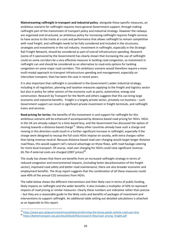**Mainstreaming railfreight in transport and industrial policy**: alongside these specific measures, an ambitious scenario for railfreight requires more general Government support, through making railfreight part of the mainstream of transport policy and industrial strategy. However the railways are organised and structured, an ambitious policy for increasing railfreight requires freight services to have access to the tracks at a cost and performance that allows railfreight to remain competitive with road freight, and railfreight needs to be fully considered and included in the structures, strategies and investments in the rail industry. Investment in railfreight, especially in the Strategic Rail Freight Network, should be considered as part of overall infrastructure spending. Research (some of it sponsored by the Government) has clearly shown that increasing the use of railfreight could on some corridors be a very effective measure in tackling road congestion, so investment in railfreight can and should be considered as an alternative to road-only options for tackling congestion on some major road corridors. This ambitious scenario would therefore require a more multi-modal approach to transport infrastructure spending and management, especially on interurban transport, than has been the case in recent years.

It is also important that railfreight is considered in the Government's wider industrial strategy, including in all regulation, planning and taxation measures applying to the freight and logistics sector but also in policy for other sectors of the economy such as ports, automotive, energy and construction. Research by Transport for the North and others suggests that this can bring large economic and industrial benefits. Freight is a largely private sector, privately run business – such Government support can result in significant private investment in freight terminals, and railfreight trains and services.

**Road pricing for lorries:** the benefits of the investment in and support for railfreight for this ambitious scenario will be enhanced if accompanied by distance-based road pricing for HGVs. HGVs in the UK are already subject to a time-based levy, and the Government has discussed the option of moving towards a distance-based charge<sup>79</sup>. Many other countries already have such a charge and moving in this direction could result in a further significant increase in railfreight, especially if the charge were designed to recoup the full costs HGVs impose on society, with extra charges rather than being revenue neutral. Because distance-based road user charging would target longer distance road flows, this would support rail's natural advantage on those flows, with road haulage catering for more local transport. Of course, road user charging for HGVs could raise significant revenue - £6.7bn if external costs are charged (2007 prices) $^{80}$ .

The study has shown that there are benefits from an increased railfreight strategy in terms of reduced congestion and environmental impacts, (including faster decarbonisation of the freight sector), improved road safety and better road maintenance; there are also broader economic and employment benefits. The Arup report suggests that the combination of all these measures could save 40% of the annual CO2 emissions from HGVs.

The table below shows the different interventions and their likely cost in terms of public funding, likely impacts on railfreight and the wider benefits. It also includes a multiplier of 50% to represent impacts of road pricing or similar measures. Clearly these numbers are indicative rather than precise – but they are a reasonable guide to the likely costs and benefits of packages of investment and interventions to support railfreight. An additional table setting out detailed calculations is attached as an Appendix to this report.

 $\overline{a}$ 

<sup>&</sup>lt;sup>79</sup> <https://www.gov.uk/government/consultations/reforming-the-heavy-goods-vehicle-road-user-levy>

<sup>80</sup> [https://bettertransport.org.uk/sites/default/files/research-files/road\\_pricing\\_freight.pdf](https://bettertransport.org.uk/sites/default/files/research-files/road_pricing_freight.pdf)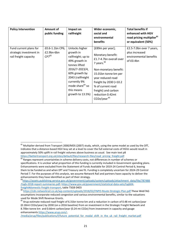| <b>Policy Intervention</b>                                                 | <b>Amount of</b><br>public funding          | Impact on<br>railfreight                                                                                                                                                                                                     | Wider economic,<br>social and<br>environmental<br>benefits                                                                                                                                                                                                                  | <b>Total benefits if</b><br>enhanced with HGV<br>road pricing multiplier <sup>81</sup><br>or equivalent (50%) |
|----------------------------------------------------------------------------|---------------------------------------------|------------------------------------------------------------------------------------------------------------------------------------------------------------------------------------------------------------------------------|-----------------------------------------------------------------------------------------------------------------------------------------------------------------------------------------------------------------------------------------------------------------------------|---------------------------------------------------------------------------------------------------------------|
| Fund current plans for<br>strategic investment in<br>rail freight capacity | £0.6-1.1bn CP6;<br>£2.9bn-6bn<br>$CP7^{82}$ | Unlocks higher<br>growth in<br>railfreight; up to<br>49% growth in<br>tonnes lifted<br>2016/7-2023/4,<br>60% growth by<br>2043 (railfreight<br>currently 9%<br>mode share <sup>83</sup> so<br>this means<br>growth to 13.5%) | [£89m per year];<br>Monetary benefit:<br>£1.7-4.7bn overall over<br>7 years. 84<br>Non-monetary benefit:<br>15.01bn tonne km per<br>year reduced road<br>freight by 2030 (=10.2)<br>% of current road<br>freight) and carbon<br>reduction 0.42mt<br>CO2e/year <sup>85</sup> | £2.5-7.0bn over 7 years,<br>plus increased<br>environmental benefits<br>of £0.4bn                             |

 $81$  Multiplier derived from Transport 2000/MDS (2007) study, which, using the same model as used by the DfT, indicates that a distance-based HGV levy set at a level to cover the full external costs of HGVs would result in approximately 50% uplift in rail freight volumes above business as usual. See main text p8 [https://bettertransport.org.uk/sites/default/files/research-files/road\\_pricing\\_freight.pdf](https://bettertransport.org.uk/sites/default/files/research-files/road_pricing_freight.pdf)

 $82$  Ranges represent uncertainties in scheme delivery costs, not differences in number of schemes or specifications. It is unclear what proportion of this funding is currently included in Government spending plans. Enhancements were excluded from the Statement of Funds Available for 2019-24 Control Period 6, leaving them to be funded as and when DfT and Treasury see fit. Funding is completely uncertain for 2024-29 Control Period 7. For the purposes of this analysis, we assume Network Rail and partners have capacity to deliver the enhancements they have identified as part of their strategy.

<sup>83</sup>[https://assets.publishing.service.gov.uk/government/uploads/system/uploads/attachment\\_data/file/787488](https://assets.publishing.service.gov.uk/government/uploads/system/uploads/attachment_data/file/787488/tsgb-2018-report-summaries.pdf) [/tsgb-2018-report-summaries.pdf;](https://assets.publishing.service.gov.uk/government/uploads/system/uploads/attachment_data/file/787488/tsgb-2018-report-summaries.pdf) [https://www.gov.uk/government/statistical-data-sets/tsgb04](https://www.gov.uk/government/statistical-data-sets/tsgb04-freight#domestic-freight-transport) [freight#domestic-freight-transport,](https://www.gov.uk/government/statistical-data-sets/tsgb04-freight#domestic-freight-transport) table TSGB 0403

<sup>84</sup> <https://cdn.networkrail.co.uk/wp-content/uploads/2018/02/FNPO-Route-Strategic-Plan.pdf> These WebTAG assumptions incorporate reduced congestion and various environmental benefits, similar to the valuations used for Mode Shift Revenue Grants.

<sup>&</sup>lt;sup>85</sup> Arup estimate reduced road freight of 6.31bn tonne km and a reduction in carbon of 0.48 mt carbon/year (0.18mt CO2e/year) by 2030 (on a 2016 baseline) from an investment in the Strategic Freight Network and 8.70bn tonne km and 0.66mt carbon/year (0.24 mt CO2e) from investment in capacity and gauge enhancement[s https://www.arup.com/-](https://www.arup.com/-/media/arup/files/publications/f/future_potential_for_modal_shift_in_the_uk_rail_freight_market.pdf)

[<sup>/</sup>media/arup/files/publications/f/future\\_potential\\_for\\_modal\\_shift\\_in\\_the\\_uk\\_rail\\_freight\\_market.pdf](https://www.arup.com/-/media/arup/files/publications/f/future_potential_for_modal_shift_in_the_uk_rail_freight_market.pdf)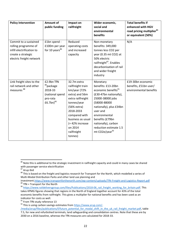| <b>Policy Intervention</b>                                                                                                   | <b>Amount of</b><br>public funding                                                               | Impact on<br>railfreight                                                                                                                                                                                                           | Wider economic,<br>social and<br>environmental<br>benefits                                                                                                                                                                                                                                | <b>Total benefits if</b><br>enhanced with HGV<br>road pricing multiplier <sup>81</sup><br>or equivalent (50%) |
|------------------------------------------------------------------------------------------------------------------------------|--------------------------------------------------------------------------------------------------|------------------------------------------------------------------------------------------------------------------------------------------------------------------------------------------------------------------------------------|-------------------------------------------------------------------------------------------------------------------------------------------------------------------------------------------------------------------------------------------------------------------------------------------|---------------------------------------------------------------------------------------------------------------|
| Commit to a sustained<br>rolling programme of<br>infill electrification to<br>create a strategic<br>electric freight network | £1bn spend -<br>£100m per year<br>for 10 years <sup>86</sup>                                     | Reduced<br>operating costs<br>and increased<br>capacity                                                                                                                                                                            | Non-monetary<br>benefits: 349,000<br>tonnes less CO2 per<br>year (0.35 mt CO2) at<br>50% electric<br>railfreight <sup>87</sup> . Enables<br>decarbonisation of rail<br>and wider freight<br>industry                                                                                      | N/A                                                                                                           |
| Link freight sites to the<br>rail network and other<br>measures <sup>88</sup>                                                | £2.9bn TfN<br><sup>89</sup> package<br>2018-33<br>(national spend<br>pro-rata<br>$f(6.7bn)^{90}$ | 32.7m extra<br>railfreight train<br>km/year (72%<br>extra) and 56m<br>extra railfreight<br>tonnes/year<br>(56% extra)<br>2018-2033<br>compared with<br>business as usual<br>$= 42\%$ increase<br>on 2014<br>railfreight<br>tonnes) | Monetary<br>benefits: £13-20bn<br>economic benefits <sup>91</sup><br>(£30-47bn nationally),<br>25000-38000 jobs<br>(58000-88000<br>nationally), plus £34bn<br>user and<br>environmental<br>benefits (£79bn<br>nationally), carbon<br>reduction estimate 1.5<br>mt CO2e/year <sup>92</sup> | £19-30bn economic<br>benefits, £51bn user/<br>environmental benefits                                          |

<sup>&</sup>lt;sup>86</sup> Note this is additional to the strategic investment in railfreight capacity and could in many cases be shared with passenger service electrification

<sup>&</sup>lt;sup>87</sup> Arup ibid

<sup>88</sup> This is based on the freight and logistics research for Transport for the North, which modelled a series of Multi-Modal Distribution Parks and other land use planning and

investment[.https://www.transportforthenorth.com/wp-content/uploads/TfN-Freight-and-Logistics-Report.pdf](https://www.transportforthenorth.com/wp-content/uploads/TfN-Freight-and-Logistics-Report.pdf)  $89$  TfN = Transport for the North

<sup>90</sup> https://www.raildeliverygroup.com/files/Publications/2018-06 rail\_freight\_working\_for\_britain.pdf. This takes KPMG figures showing that regions in the North of England together account for 43% of the total economic benefits from railfreight. This gives a multiplier for national benefits and has been used as an indicator for costs as well.

 $91$  From TfN study reference 13

<sup>92</sup> This is using carbon savings estimates fro[m https://www.arup.com/-](https://www.arup.com/-/media/arup/files/publications/f/future_potential_for_modal_shift_in_the_uk_rail_freight_market.pdf)

[<sup>/</sup>media/arup/files/publications/f/future\\_potential\\_for\\_modal\\_shift\\_in\\_the\\_uk\\_rail\\_freight\\_market.pdf,](https://www.arup.com/-/media/arup/files/publications/f/future_potential_for_modal_shift_in_the_uk_rail_freight_market.pdf) table 7.5, for new and refurbished terminals, land safeguarding and consolidation centres. Note that these are by 2030 on a 2016 baseline, whereas the TfN measures are calculated for 2018-33.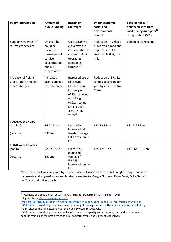| <b>Policy Intervention</b>                                     | <b>Amount of</b><br>public funding                                                                          | Impact on<br>railfreight                                                                                                                                                   | Wider economic,<br>social and                                                                       | <b>Total benefits if</b><br>enhanced with HGV                |  |  |  |  |
|----------------------------------------------------------------|-------------------------------------------------------------------------------------------------------------|----------------------------------------------------------------------------------------------------------------------------------------------------------------------------|-----------------------------------------------------------------------------------------------------|--------------------------------------------------------------|--|--|--|--|
|                                                                |                                                                                                             |                                                                                                                                                                            | environmental<br>benefits                                                                           | road pricing multiplier <sup>81</sup><br>or equivalent (50%) |  |  |  |  |
| Support new types of<br>rail freight services                  | Unclear, but<br>could be<br>included<br>passenger rail<br>service<br>specifications<br>and NR<br>programmes | Up to £138m of<br>extra revenue<br>(15% addition to<br>current freight<br>operating<br>companies'<br>turnover)93                                                           | Reductions in vehicle<br>numbers on road and<br>opportunities for<br>sustainable first/last<br>mile | £207m extra revenue                                          |  |  |  |  |
| Increase railfreight<br>grants and/or reduce<br>access charges | Increased<br>grants budget<br>to £50m/year                                                                  | Increased use of<br>railfreight<br>(4.64bn tonne<br>km per year,<br>+27%), reduced<br>road freight<br>(4.91bn tonne<br>km per year, -<br>3.4%) 2016-<br>2030 <sup>94</sup> | Reduction of 378,624<br>tonnes of carbon per<br>year by $2030$ , = 1.4mt<br>CO <sub>2</sub> e       |                                                              |  |  |  |  |
| <b>TOTAL over 7 years</b><br>(capital)<br>(revenue)            | £6.28-8.8bn<br>£350m                                                                                        | Up to 49%<br>increased rail<br>freight tonnage<br>Est 12.6% tonne-<br>km                                                                                                   | £52.6-63.5bn                                                                                        | £78.9-95.3bn                                                 |  |  |  |  |
| <b>TOTAL over 10 years</b><br>(capital)<br>(revenue)           | £8.97-12.57<br>£500m                                                                                        | Up to 79%<br>increased<br>tonnage <sup>95</sup><br>Est 18%<br>increased tonne-<br>kms                                                                                      | £75.1-90.7bn <sup>96</sup>                                                                          | £112.64-136.1bn                                              |  |  |  |  |

Note: this report was prepared by Stephen Joseph Associates for the Rail Freight Group. Thanks for comments and suggestions on earlier drafts are due to Maggie Simpson, Peter Frost, Mike Garrett, Ian Taylor and Julian Worth.

**<sup>.</sup>** <sup>93</sup> "Carriage of Goods on Passenger Trains", Arups for Department for Transport, 2016 <sup>94</sup> Figures from [https://www.arup.com/-](https://www.arup.com/-/media/arup/files/publications/f/future_potential_for_modal_shift_in_the_uk_rail_freight_market.pdf)

[<sup>/</sup>media/arup/files/publications/f/future\\_potential\\_for\\_modal\\_shift\\_in\\_the\\_uk\\_rail\\_freight\\_market.pdf](https://www.arup.com/-/media/arup/files/publications/f/future_potential_for_modal_shift_in_the_uk_rail_freight_market.pdf)

 $95$  Calculations based on pro-rata increase in railfreight tonnage carried, with capacity increases and linking freight sites to the rail network, over the 7 and 10 years respectively.

<sup>&</sup>lt;sup>96</sup> Calculations based on pro-rata benefits in increases in capacity and economic, user and environmental benefits from linking freight sites to the rail network, over 7 and 10 years respectively